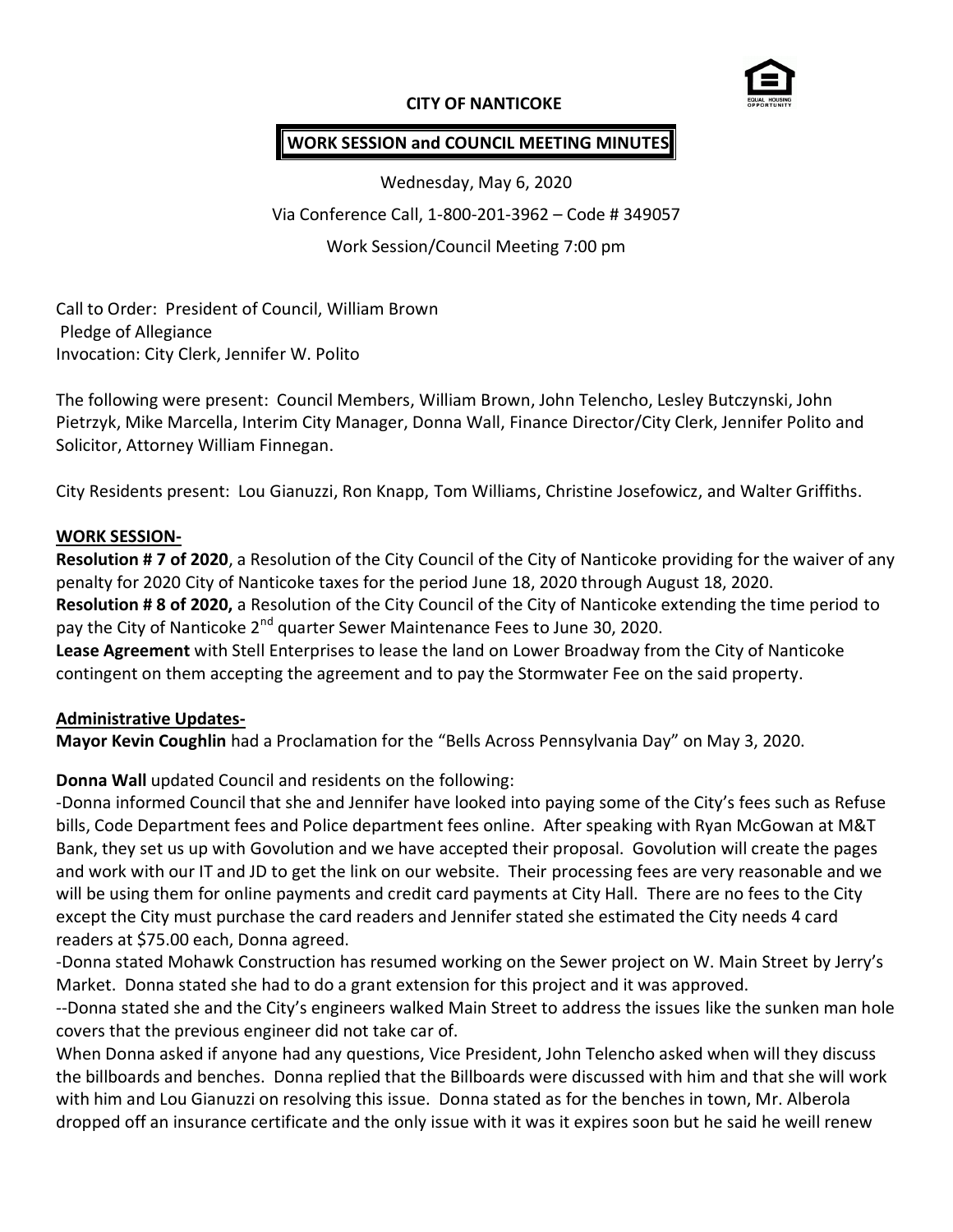### **CITY OF NANTICOKE**



# **WORK SESSION and COUNCIL MEETING MINUTES**

Wednesday, May 6, 2020 Via Conference Call, 1-800-201-3962 – Code # 349057 Work Session/Council Meeting 7:00 pm

Call to Order: President of Council, William Brown Pledge of Allegiance Invocation: City Clerk, Jennifer W. Polito

The following were present: Council Members, William Brown, John Telencho, Lesley Butczynski, John Pietrzyk, Mike Marcella, Interim City Manager, Donna Wall, Finance Director/City Clerk, Jennifer Polito and Solicitor, Attorney William Finnegan.

City Residents present: Lou Gianuzzi, Ron Knapp, Tom Williams, Christine Josefowicz, and Walter Griffiths.

### **WORK SESSION-**

**Resolution # 7 of 2020**, a Resolution of the City Council of the City of Nanticoke providing for the waiver of any penalty for 2020 City of Nanticoke taxes for the period June 18, 2020 through August 18, 2020. **Resolution # 8 of 2020,** a Resolution of the City Council of the City of Nanticoke extending the time period to pay the City of Nanticoke 2<sup>nd</sup> quarter Sewer Maintenance Fees to June 30, 2020.

**Lease Agreement** with Stell Enterprises to lease the land on Lower Broadway from the City of Nanticoke contingent on them accepting the agreement and to pay the Stormwater Fee on the said property.

### **Administrative Updates-**

**Mayor Kevin Coughlin** had a Proclamation for the "Bells Across Pennsylvania Day" on May 3, 2020.

### **Donna Wall** updated Council and residents on the following:

-Donna informed Council that she and Jennifer have looked into paying some of the City's fees such as Refuse bills, Code Department fees and Police department fees online. After speaking with Ryan McGowan at M&T Bank, they set us up with Govolution and we have accepted their proposal. Govolution will create the pages and work with our IT and JD to get the link on our website. Their processing fees are very reasonable and we will be using them for online payments and credit card payments at City Hall. There are no fees to the City except the City must purchase the card readers and Jennifer stated she estimated the City needs 4 card readers at \$75.00 each, Donna agreed.

-Donna stated Mohawk Construction has resumed working on the Sewer project on W. Main Street by Jerry's Market. Donna stated she had to do a grant extension for this project and it was approved.

--Donna stated she and the City's engineers walked Main Street to address the issues like the sunken man hole covers that the previous engineer did not take car of.

When Donna asked if anyone had any questions, Vice President, John Telencho asked when will they discuss the billboards and benches. Donna replied that the Billboards were discussed with him and that she will work with him and Lou Gianuzzi on resolving this issue. Donna stated as for the benches in town, Mr. Alberola dropped off an insurance certificate and the only issue with it was it expires soon but he said he weill renew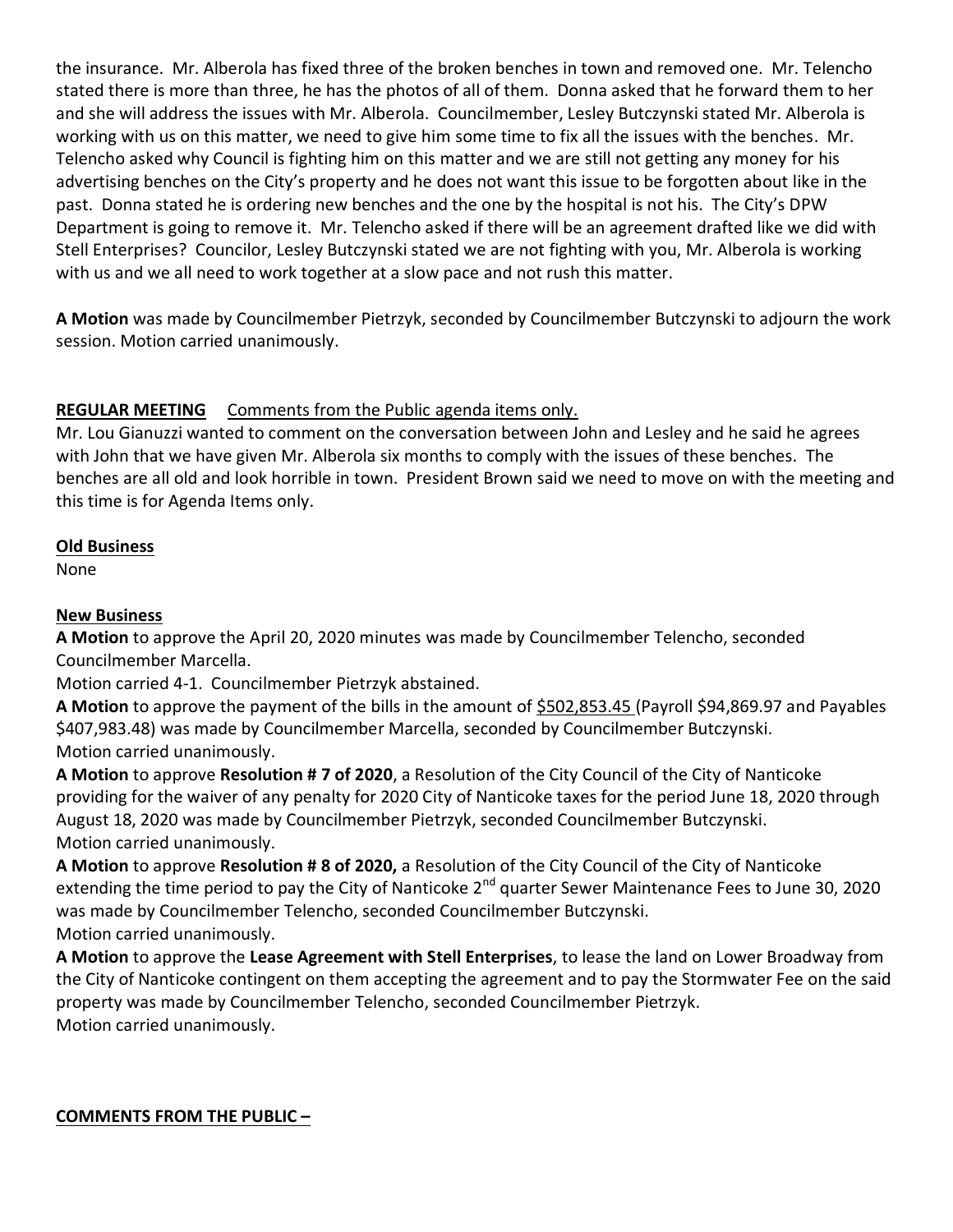the insurance. Mr. Alberola has fixed three of the broken benches in town and removed one. Mr. Telencho stated there is more than three, he has the photos of all of them. Donna asked that he forward them to her and she will address the issues with Mr. Alberola. Councilmember, Lesley Butczynski stated Mr. Alberola is working with us on this matter, we need to give him some time to fix all the issues with the benches. Mr. Telencho asked why Council is fighting him on this matter and we are still not getting any money for his advertising benches on the City's property and he does not want this issue to be forgotten about like in the past. Donna stated he is ordering new benches and the one by the hospital is not his. The City's DPW Department is going to remove it. Mr. Telencho asked if there will be an agreement drafted like we did with Stell Enterprises? Councilor, Lesley Butczynski stated we are not fighting with you, Mr. Alberola is working with us and we all need to work together at a slow pace and not rush this matter.

**A Motion** was made by Councilmember Pietrzyk, seconded by Councilmember Butczynski to adjourn the work session. Motion carried unanimously.

# **REGULAR MEETING** Comments from the Public agenda items only.

Mr. Lou Gianuzzi wanted to comment on the conversation between John and Lesley and he said he agrees with John that we have given Mr. Alberola six months to comply with the issues of these benches. The benches are all old and look horrible in town. President Brown said we need to move on with the meeting and this time is for Agenda Items only.

# **Old Business**

None

# **New Business**

**A Motion** to approve the April 20, 2020 minutes was made by Councilmember Telencho, seconded Councilmember Marcella.

Motion carried 4-1. Councilmember Pietrzyk abstained.

**A Motion** to approve the payment of the bills in the amount of \$502,853.45 (Payroll \$94,869.97 and Payables \$407,983.48) was made by Councilmember Marcella, seconded by Councilmember Butczynski. Motion carried unanimously.

**A Motion** to approve **Resolution # 7 of 2020**, a Resolution of the City Council of the City of Nanticoke providing for the waiver of any penalty for 2020 City of Nanticoke taxes for the period June 18, 2020 through August 18, 2020 was made by Councilmember Pietrzyk, seconded Councilmember Butczynski. Motion carried unanimously.

**A Motion** to approve **Resolution # 8 of 2020,** a Resolution of the City Council of the City of Nanticoke extending the time period to pay the City of Nanticoke 2<sup>nd</sup> quarter Sewer Maintenance Fees to June 30, 2020 was made by Councilmember Telencho, seconded Councilmember Butczynski. Motion carried unanimously.

**A Motion** to approve the **Lease Agreement with Stell Enterprises**, to lease the land on Lower Broadway from the City of Nanticoke contingent on them accepting the agreement and to pay the Stormwater Fee on the said property was made by Councilmember Telencho, seconded Councilmember Pietrzyk. Motion carried unanimously.

# **COMMENTS FROM THE PUBLIC –**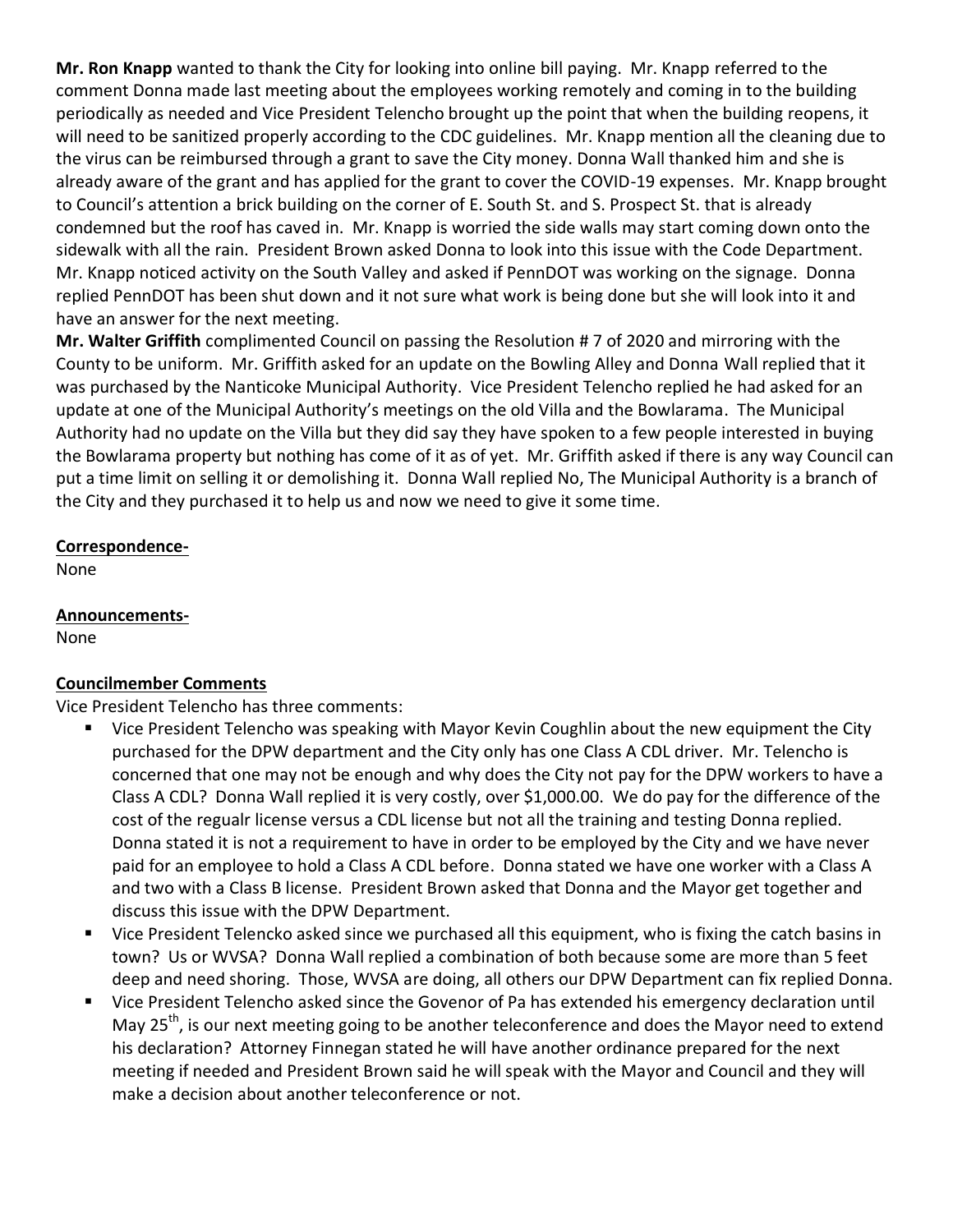**Mr. Ron Knapp** wanted to thank the City for looking into online bill paying. Mr. Knapp referred to the comment Donna made last meeting about the employees working remotely and coming in to the building periodically as needed and Vice President Telencho brought up the point that when the building reopens, it will need to be sanitized properly according to the CDC guidelines. Mr. Knapp mention all the cleaning due to the virus can be reimbursed through a grant to save the City money. Donna Wall thanked him and she is already aware of the grant and has applied for the grant to cover the COVID-19 expenses. Mr. Knapp brought to Council's attention a brick building on the corner of E. South St. and S. Prospect St. that is already condemned but the roof has caved in. Mr. Knapp is worried the side walls may start coming down onto the sidewalk with all the rain. President Brown asked Donna to look into this issue with the Code Department. Mr. Knapp noticed activity on the South Valley and asked if PennDOT was working on the signage. Donna replied PennDOT has been shut down and it not sure what work is being done but she will look into it and have an answer for the next meeting.

**Mr. Walter Griffith** complimented Council on passing the Resolution # 7 of 2020 and mirroring with the County to be uniform. Mr. Griffith asked for an update on the Bowling Alley and Donna Wall replied that it was purchased by the Nanticoke Municipal Authority. Vice President Telencho replied he had asked for an update at one of the Municipal Authority's meetings on the old Villa and the Bowlarama. The Municipal Authority had no update on the Villa but they did say they have spoken to a few people interested in buying the Bowlarama property but nothing has come of it as of yet. Mr. Griffith asked if there is any way Council can put a time limit on selling it or demolishing it. Donna Wall replied No, The Municipal Authority is a branch of the City and they purchased it to help us and now we need to give it some time.

# **Correspondence-**

None

**Announcements-**

None

### **Councilmember Comments**

Vice President Telencho has three comments:

- Vice President Telencho was speaking with Mayor Kevin Coughlin about the new equipment the City purchased for the DPW department and the City only has one Class A CDL driver. Mr. Telencho is concerned that one may not be enough and why does the City not pay for the DPW workers to have a Class A CDL? Donna Wall replied it is very costly, over \$1,000.00. We do pay for the difference of the cost of the regualr license versus a CDL license but not all the training and testing Donna replied. Donna stated it is not a requirement to have in order to be employed by the City and we have never paid for an employee to hold a Class A CDL before. Donna stated we have one worker with a Class A and two with a Class B license. President Brown asked that Donna and the Mayor get together and discuss this issue with the DPW Department.
- Vice President Telencko asked since we purchased all this equipment, who is fixing the catch basins in town? Us or WVSA? Donna Wall replied a combination of both because some are more than 5 feet deep and need shoring. Those, WVSA are doing, all others our DPW Department can fix replied Donna.
- Vice President Telencho asked since the Govenor of Pa has extended his emergency declaration until May 25<sup>th</sup>, is our next meeting going to be another teleconference and does the Mayor need to extend his declaration? Attorney Finnegan stated he will have another ordinance prepared for the next meeting if needed and President Brown said he will speak with the Mayor and Council and they will make a decision about another teleconference or not.